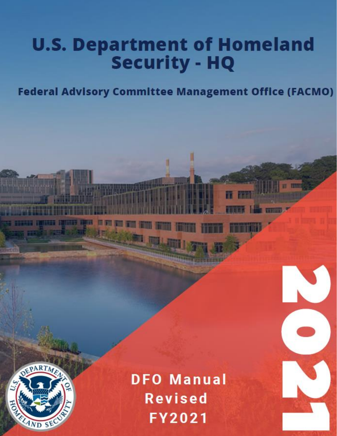# **U.S. Department of Homeland<br>Security - HQ**

**Federal Advisory Committee Management Office (FACMO)** 

的前面



**DFO Manual Revised** FY2021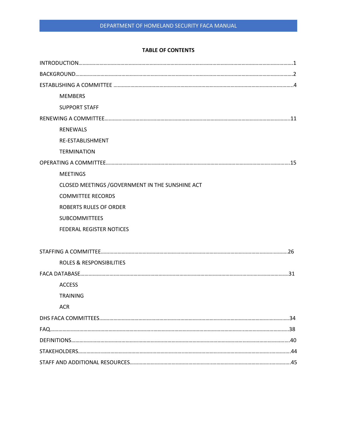#### **TABLE OF CONTENTS**

| <b>MEMBERS</b>                                   |  |
|--------------------------------------------------|--|
| <b>SUPPORT STAFF</b>                             |  |
|                                                  |  |
| <b>RENEWALS</b>                                  |  |
| RE-ESTABLISHMENT                                 |  |
| <b>TERMINATION</b>                               |  |
|                                                  |  |
| <b>MEETINGS</b>                                  |  |
| CLOSED MEETINGS / GOVERNMENT IN THE SUNSHINE ACT |  |
| <b>COMMITTEE RECORDS</b>                         |  |
| <b>ROBERTS RULES OF ORDER</b>                    |  |
| <b>SUBCOMMITTEES</b>                             |  |
| FEDERAL REGISTER NOTICES                         |  |
|                                                  |  |
|                                                  |  |
| <b>ROLES &amp; RESPONSIBILITIES</b>              |  |
|                                                  |  |
| <b>ACCESS</b>                                    |  |
| <b>TRAINING</b>                                  |  |
| <b>ACR</b>                                       |  |
|                                                  |  |
|                                                  |  |
|                                                  |  |
|                                                  |  |
|                                                  |  |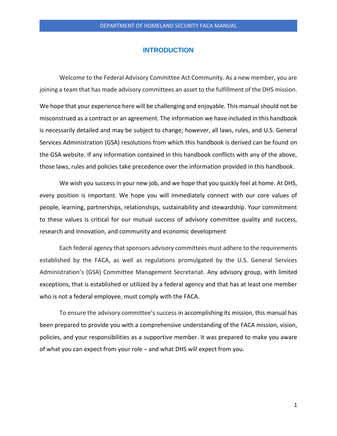#### **INTRODUCTION**

Welcome to the Federal Advisory Committee Act Community. As a new member, you are joining a team that has made advisory committees an asset to the fulfillment of the DHS mission.

We hope that your experience here will be challenging and enjoyable. This manual should not be misconstrued as a contract or an agreement. The information we have included in this handbook is necessarily detailed and may be subject to change; however, all laws, rules, and U.S. General Services Administration (GSA) resolutions from which this handbook is derived can be found on the GSA website. If any information contained in this handbook conflicts with any of the above, those laws, rules and policies take precedence over the information provided in this handbook.

We wish you success in your new job, and we hope that you quickly feel at home. At DHS, every position is important. We hope you will immediately connect with our core values of people, learning, partnerships, relationships, sustainability and stewardship. Your commitment to these values is critical for our mutual success of advisory committee quality and success, research and innovation, and community and economic development

Each federal agency that sponsors advisory committees must adhere to the requirements established by the FACA, as well as regulations promulgated by the U.S. General Services Administration's (GSA) Committee Management Secretariat. Any advisory group, with limited exceptions, that is established or utilized by a federal agency and that has at least one member who is not a federal employee, must comply with the FACA.

To ensure the advisory committee's success in accomplishing its mission, this manual has been prepared to provide you with a comprehensive understanding of the FACA mission, vision, policies, and your responsibilities as a supportive member. It was prepared to make you aware of what you can expect from your role – and what DHS will expect from you.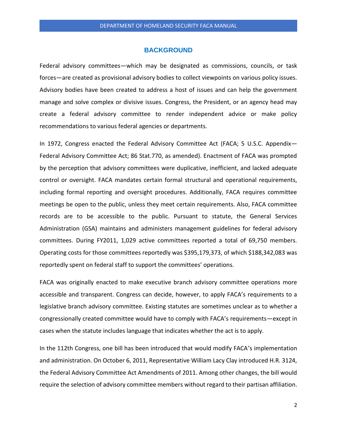#### **BACKGROUND**

Federal advisory committees—which may be designated as commissions, councils, or task forces—are created as provisional advisory bodies to collect viewpoints on various policy issues. Advisory bodies have been created to address a host of issues and can help the government manage and solve complex or divisive issues. Congress, the President, or an agency head may create a federal advisory committee to render independent advice or make policy recommendations to various federal agencies or departments.

In 1972, Congress enacted the Federal Advisory Committee Act (FACA; 5 U.S.C. Appendix— Federal Advisory Committee Act; 86 Stat.770, as amended). Enactment of FACA was prompted by the perception that advisory committees were duplicative, inefficient, and lacked adequate control or oversight. FACA mandates certain formal structural and operational requirements, including formal reporting and oversight procedures. Additionally, FACA requires committee meetings be open to the public, unless they meet certain requirements. Also, FACA committee records are to be accessible to the public. Pursuant to statute, the General Services Administration (GSA) maintains and administers management guidelines for federal advisory committees. During FY2011, 1,029 active committees reported a total of 69,750 members. Operating costs for those committees reportedly was \$395,179,373, of which \$188,342,083 was reportedly spent on federal staff to support the committees' operations.

FACA was originally enacted to make executive branch advisory committee operations more accessible and transparent. Congress can decide, however, to apply FACA's requirements to a legislative branch advisory committee. Existing statutes are sometimes unclear as to whether a congressionally created committee would have to comply with FACA's requirements—except in cases when the statute includes language that indicates whether the act is to apply.

In the 112th Congress, one bill has been introduced that would modify FACA's implementation and administration. On October 6, 2011, Representative William Lacy Clay introduced H.R. 3124, the Federal Advisory Committee Act Amendments of 2011. Among other changes, the bill would require the selection of advisory committee members without regard to their partisan affiliation.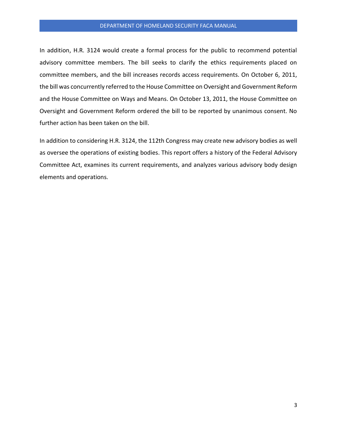#### DEPARTMENT OF HOMELAND SECURITY FACA MANUAL

In addition, H.R. 3124 would create a formal process for the public to recommend potential advisory committee members. The bill seeks to clarify the ethics requirements placed on committee members, and the bill increases records access requirements. On October 6, 2011, the bill was concurrently referred to the House Committee on Oversight and Government Reform and the House Committee on Ways and Means. On October 13, 2011, the House Committee on Oversight and Government Reform ordered the bill to be reported by unanimous consent. No further action has been taken on the bill.

In addition to considering H.R. 3124, the 112th Congress may create new advisory bodies as well as oversee the operations of existing bodies. This report offers a history of the Federal Advisory Committee Act, examines its current requirements, and analyzes various advisory body design elements and operations.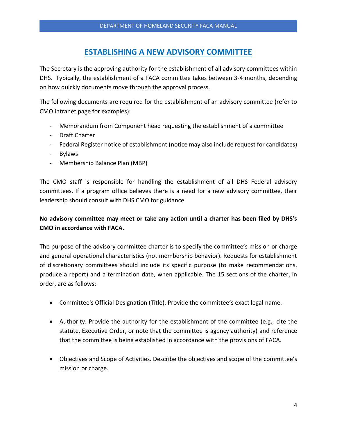# **ESTABLISHING A NEW ADVISORY COMMITTEE**

The Secretary is the approving authority for the establishment of all advisory committees within DHS. Typically, the establishment of a FACA committee takes between 3-4 months, depending on how quickly documents move through the approval process.

The following documents are required for the establishment of an advisory committee (refer to CMO intranet page for examples):

- Memorandum from Component head requesting the establishment of a committee
- Draft Charter
- Federal Register notice of establishment (notice may also include request for candidates)
- Bylaws
- Membership Balance Plan (MBP)

The CMO staff is responsible for handling the establishment of all DHS Federal advisory committees. If a program office believes there is a need for a new advisory committee, their leadership should consult with DHS CMO for guidance.

# **No advisory committee may meet or take any action until a charter has been filed by DHS's CMO in accordance with FACA.**

The purpose of the advisory committee charter is to specify the committee's mission or charge and general operational characteristics (not membership behavior). Requests for establishment of discretionary committees should include its specific purpose (to make recommendations, produce a report) and a termination date, when applicable. The 15 sections of the charter, in order, are as follows:

- Committee's Official Designation (Title). Provide the committee's exact legal name.
- Authority. Provide the authority for the establishment of the committee (e.g., cite the statute, Executive Order, or note that the committee is agency authority) and reference that the committee is being established in accordance with the provisions of FACA.
- Objectives and Scope of Activities. Describe the objectives and scope of the committee's mission or charge.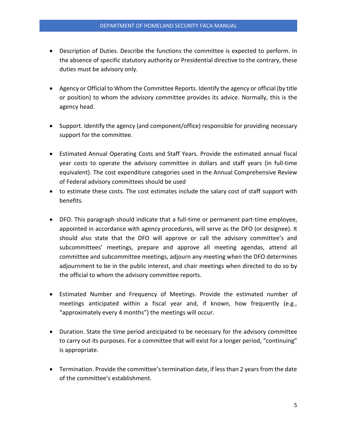- Description of Duties. Describe the functions the committee is expected to perform. In the absence of specific statutory authority or Presidential directive to the contrary, these duties must be advisory only.
- Agency or Official to Whom the Committee Reports. Identify the agency or official (by title or position) to whom the advisory committee provides its advice. Normally, this is the agency head.
- Support. Identify the agency (and component/office) responsible for providing necessary support for the committee.
- Estimated Annual Operating Costs and Staff Years. Provide the estimated annual fiscal year costs to operate the advisory committee in dollars and staff years (in full-time equivalent). The cost expenditure categories used in the Annual Comprehensive Review of Federal advisory committees should be used
- to estimate these costs. The cost estimates include the salary cost of staff support with benefits.
- DFO. This paragraph should indicate that a full-time or permanent part-time employee, appointed in accordance with agency procedures, will serve as the DFO (or designee). It should also state that the DFO will approve or call the advisory committee's and subcommittees' meetings, prepare and approve all meeting agendas, attend all committee and subcommittee meetings, adjourn any meeting when the DFO determines adjournment to be in the public interest, and chair meetings when directed to do so by the official to whom the advisory committee reports.
- Estimated Number and Frequency of Meetings. Provide the estimated number of meetings anticipated within a fiscal year and, if known, how frequently (e.g., "approximately every 4 months") the meetings will occur.
- Duration. State the time period anticipated to be necessary for the advisory committee to carry out its purposes. For a committee that will exist for a longer period, "continuing" is appropriate.
- Termination. Provide the committee's termination date, if less than 2 years from the date of the committee's establishment.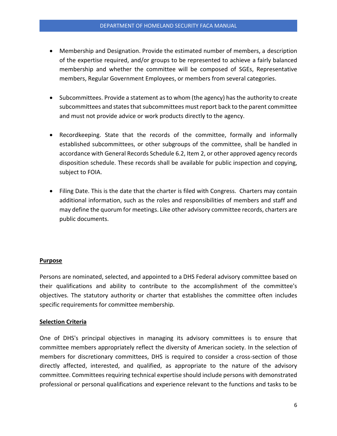- Membership and Designation. Provide the estimated number of members, a description of the expertise required, and/or groups to be represented to achieve a fairly balanced membership and whether the committee will be composed of SGEs, Representative members, Regular Government Employees, or members from several categories.
- Subcommittees. Provide a statement as to whom (the agency) has the authority to create subcommittees and states that subcommittees must report back to the parent committee and must not provide advice or work products directly to the agency.
- Recordkeeping. State that the records of the committee, formally and informally established subcommittees, or other subgroups of the committee, shall be handled in accordance with General Records Schedule 6.2, Item 2, or other approved agency records disposition schedule. These records shall be available for public inspection and copying, subject to FOIA.
- Filing Date. This is the date that the charter is filed with Congress. Charters may contain additional information, such as the roles and responsibilities of members and staff and may define the quorum for meetings. Like other advisory committee records, charters are public documents.

#### **Purpose**

Persons are nominated, selected, and appointed to a DHS Federal advisory committee based on their qualifications and ability to contribute to the accomplishment of the committee's objectives. The statutory authority or charter that establishes the committee often includes specific requirements for committee membership.

#### **Selection Criteria**

One of DHS's principal objectives in managing its advisory committees is to ensure that committee members appropriately reflect the diversity of American society. In the selection of members for discretionary committees, DHS is required to consider a cross-section of those directly affected, interested, and qualified, as appropriate to the nature of the advisory committee. Committees requiring technical expertise should include persons with demonstrated professional or personal qualifications and experience relevant to the functions and tasks to be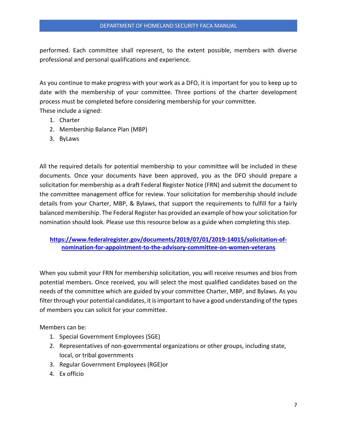performed. Each committee shall represent, to the extent possible, members with diverse professional and personal qualifications and experience.

As you continue to make progress with your work as a DFO, it is important for you to keep up to date with the membership of your committee. Three portions of the charter development process must be completed before considering membership for your committee. These include a signed:

- 1. Charter
- 2. Membership Balance Plan (MBP)
- 3. ByLaws

All the required details for potential membership to your committee will be included in these documents. Once your documents have been approved, you as the DFO should prepare a solicitation for membership as a draft Federal Register Notice (FRN) and submit the document to the committee management office for review. Your solicitation for membership should include details from your Charter, MBP, & Bylaws, that support the requirements to fulfill for a fairly balanced membership. The Federal Register has provided an example of how your solicitation for nomination should look. Please use this resource below as a guide when completing this step.

## **[https://www.federalregister.gov/documents/2019/07/01/2019-14015/solicitation-of](https://www.federalregister.gov/documents/2019/07/01/2019-14015/solicitation-of-nomination-for-appointment-to-the-advisory-committee-on-women-veterans)[nomination-for-appointment-to-the-advisory-committee-on-women-veterans](https://www.federalregister.gov/documents/2019/07/01/2019-14015/solicitation-of-nomination-for-appointment-to-the-advisory-committee-on-women-veterans)**

When you submit your FRN for membership solicitation, you will receive resumes and bios from potential members. Once received, you will select the most qualified candidates based on the needs of the committee which are guided by your committee Charter, MBP, and Bylaws. As you filter through your potential candidates, it is important to have a good understanding of the types of members you can solicit for your committee.

Members can be:

- 1. Special Government Employees (SGE)
- 2. Representatives of non-governmental organizations or other groups, including state, local, or tribal governments
- 3. Regular Government Employees (RGE)or
- 4. Ex officio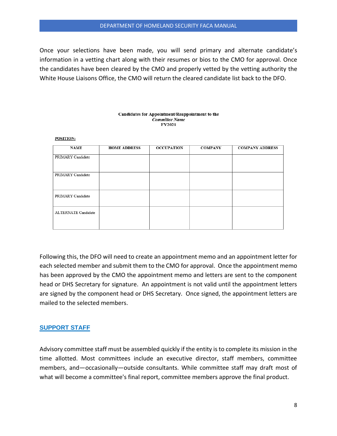#### DEPARTMENT OF HOMELAND SECURITY FACA MANUAL

Once your selections have been made, you will send primary and alternate candidate's information in a vetting chart along with their resumes or bios to the CMO for approval. Once the candidates have been cleared by the CMO and properly vetted by the vetting authority the White House Liaisons Office, the CMO will return the cleared candidate list back to the DFO.

#### Candidates for Appointment/Reappointment to the **Committee Name** FY2021

#### POSITION:

| <b>NAME</b>         | <b>HOME ADDRESS</b> | <b>OCCUPATION</b> | <b>COMPANY</b> | <b>COMPANY ADDRESS</b> |
|---------------------|---------------------|-------------------|----------------|------------------------|
| PRIMARY Candidate   |                     |                   |                |                        |
| PRIMARY Candidate   |                     |                   |                |                        |
| PRIMARY Candidate   |                     |                   |                |                        |
| ALTERNATE Candidate |                     |                   |                |                        |

Following this, the DFO will need to create an appointment memo and an appointment letter for each selected member and submit them to the CMO for approval. Once the appointment memo has been approved by the CMO the appointment memo and letters are sent to the component head or DHS Secretary for signature. An appointment is not valid until the appointment letters are signed by the component head or DHS Secretary. Once signed, the appointment letters are mailed to the selected members.

#### **SUPPORT STAFF**

Advisory committee staff must be assembled quickly if the entity is to complete its mission in the time allotted. Most committees include an executive director, staff members, committee members, and—occasionally—outside consultants. While committee staff may draft most of what will become a committee's final report, committee members approve the final product.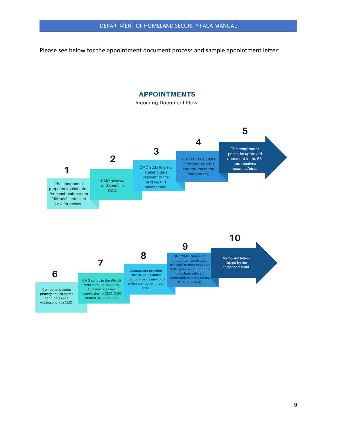Please see below for the appointment document process and sample appointment letter:



Incoming Document Flow

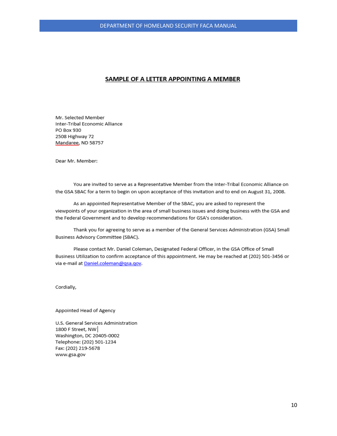#### SAMPLE OF A LETTER APPOINTING A MEMBER

Mr. Selected Member Inter-Tribal Economic Alliance PO Box 930 2508 Highway 72 Mandaree, ND 58757

Dear Mr. Member:

You are invited to serve as a Representative Member from the Inter-Tribal Economic Alliance on the GSA SBAC for a term to begin on upon acceptance of this invitation and to end on August 31, 2008.

As an appointed Representative Member of the SBAC, you are asked to represent the viewpoints of your organization in the area of small business issues and doing business with the GSA and the Federal Government and to develop recommendations for GSA's consideration.

Thank you for agreeing to serve as a member of the General Services Administration (GSA) Small Business Advisory Committee (SBAC).

Please contact Mr. Daniel Coleman, Designated Federal Officer, in the GSA Office of Small Business Utilization to confirm acceptance of this appointment. He may be reached at (202) 501-3456 or via e-mail at Daniel.coleman@qsa.qov.

Cordially,

Appointed Head of Agency

U.S. General Services Administration 1800 F Street, NW Washington, DC 20405-0002 Telephone: (202) 501-1234 Fax: (202) 219-5678 www.gsa.gov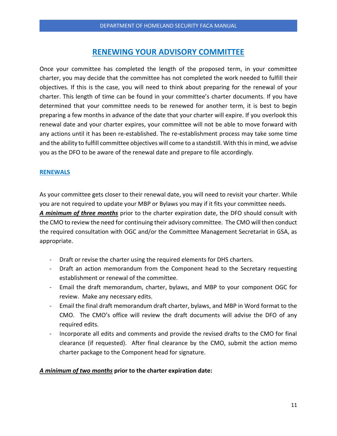# **RENEWING YOUR ADVISORY COMMITTEE**

Once your committee has completed the length of the proposed term, in your committee charter, you may decide that the committee has not completed the work needed to fulfill their objectives. If this is the case, you will need to think about preparing for the renewal of your charter. This length of time can be found in your committee's charter documents. If you have determined that your committee needs to be renewed for another term, it is best to begin preparing a few months in advance of the date that your charter will expire. If you overlook this renewal date and your charter expires, your committee will not be able to move forward with any actions until it has been re-established. The re-establishment process may take some time and the ability to fulfill committee objectives will come to a standstill. With this in mind, we advise you as the DFO to be aware of the renewal date and prepare to file accordingly.

#### **RENEWALS**

As your committee gets closer to their renewal date, you will need to revisit your charter. While you are not required to update your MBP or Bylaws you may if it fits your committee needs. *A minimum of three months* prior to the charter expiration date, the DFO should consult with the CMO to review the need for continuing their advisory committee. The CMO will then conduct the required consultation with OGC and/or the Committee Management Secretariat in GSA, as appropriate.

- Draft or revise the charter using the required elements for DHS charters.
- Draft an action memorandum from the Component head to the Secretary requesting establishment or renewal of the committee.
- Email the draft memorandum, charter, bylaws, and MBP to your component OGC for review. Make any necessary edits.
- Email the final draft memorandum draft charter, bylaws, and MBP in Word format to the CMO. The CMO's office will review the draft documents will advise the DFO of any required edits.
- Incorporate all edits and comments and provide the revised drafts to the CMO for final clearance (if requested). After final clearance by the CMO, submit the action memo charter package to the Component head for signature.

## *A minimum of two months* **prior to the charter expiration date:**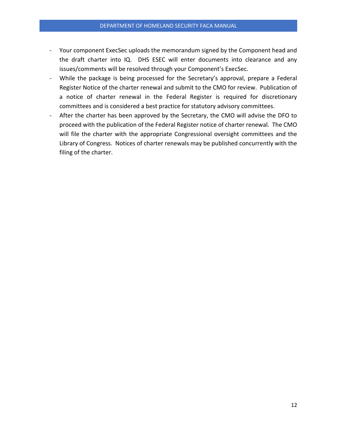- Your component ExecSec uploads the memorandum signed by the Component head and the draft charter into IQ. DHS ESEC will enter documents into clearance and any issues/comments will be resolved through your Component's ExecSec.
- While the package is being processed for the Secretary's approval, prepare a Federal Register Notice of the charter renewal and submit to the CMO for review. Publication of a notice of charter renewal in the Federal Register is required for discretionary committees and is considered a best practice for statutory advisory committees.
- After the charter has been approved by the Secretary, the CMO will advise the DFO to proceed with the publication of the Federal Register notice of charter renewal. The CMO will file the charter with the appropriate Congressional oversight committees and the Library of Congress. Notices of charter renewals may be published concurrently with the filing of the charter.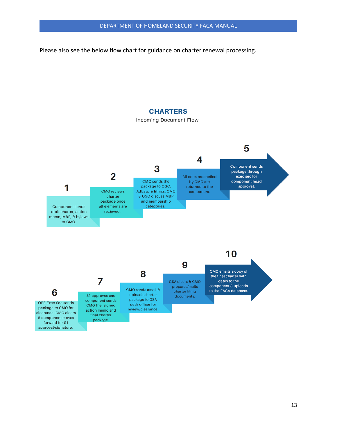**CHARTERS** 

Please also see the below flow chart for guidance on charter renewal processing.

#### Incoming Document Flow 5 4 **Component sends** 3 package through  $\overline{2}$ exec sec for All edits reconciled CMO sends the by CMO are component head 1 package to OGC, approval. returned to the **CMO** reviews AdLaw, & Ethics. CMO component. charter & OGC discuss MBP and membership package once Component sends all elements are categories. recieved. draft charter, action memo, MBP, & bylaws to CMO. 10 9 CMO emails a copy of 8 the final charter with 7 dates to the GSA clears & CMO component & uploads prepares/mails CMO sends email & to the FACA database. charter filing 6 uploads charter S1 approves and documents. package to GSA component sends OPE Exec Sec sends desk officer for CMO the signed package to CMO for review/clearance. action memo and clearance. CMO clears  $\operatorname{\sf final}$  charter & component moves package forward for S1 approval/signature.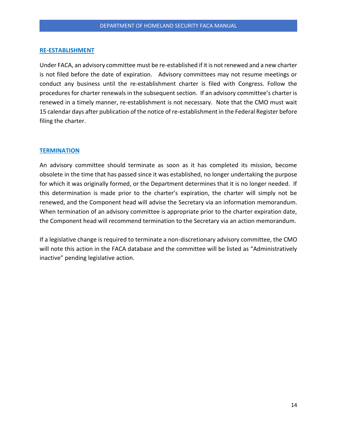#### **RE-ESTABLISHMENT**

Under FACA, an advisory committee must be re-established if it is not renewed and a new charter is not filed before the date of expiration. Advisory committees may not resume meetings or conduct any business until the re-establishment charter is filed with Congress. Follow the procedures for charter renewals in the subsequent section. If an advisory committee's charter is renewed in a timely manner, re-establishment is not necessary. Note that the CMO must wait 15 calendar days after publication of the notice of re-establishment in the Federal Register before filing the charter.

#### **TERMINATION**

An advisory committee should terminate as soon as it has completed its mission, become obsolete in the time that has passed since it was established, no longer undertaking the purpose for which it was originally formed, or the Department determines that it is no longer needed. If this determination is made prior to the charter's expiration, the charter will simply not be renewed, and the Component head will advise the Secretary via an information memorandum. When termination of an advisory committee is appropriate prior to the charter expiration date, the Component head will recommend termination to the Secretary via an action memorandum.

If a legislative change is required to terminate a non-discretionary advisory committee, the CMO will note this action in the FACA database and the committee will be listed as "Administratively inactive" pending legislative action.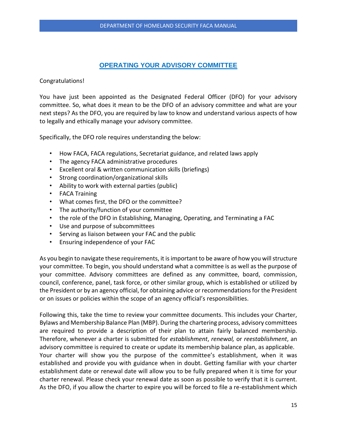## **OPERATING YOUR ADVISORY COMMITTEE**

Congratulations!

You have just been appointed as the Designated Federal Officer (DFO) for your advisory committee. So, what does it mean to be the DFO of an advisory committee and what are your next steps? As the DFO, you are required by law to know and understand various aspects of how to legally and ethically manage your advisory committee.

Specifically, the DFO role requires understanding the below:

- How FACA, FACA regulations, Secretariat guidance, and related laws apply
- The agency FACA administrative procedures
- Excellent oral & written communication skills (briefings)
- Strong coordination/organizational skills
- Ability to work with external parties (public)
- FACA Training
- What comes first, the DFO or the committee?
- The authority/function of your committee
- the role of the DFO in Establishing, Managing, Operating, and Terminating a FAC
- Use and purpose of subcommittees
- Serving as liaison between your FAC and the public
- Ensuring independence of your FAC

As you begin to navigate these requirements, it is important to be aware of how you will structure your committee. To begin, you should understand what a committee is as well as the purpose of your committee. Advisory committees are defined as any committee, board, commission, council, conference, panel, task force, or other similar group, which is established or utilized by the President or by an agency official, for obtaining advice or recommendations for the President or on issues or policies within the scope of an agency official's responsibilities.

Following this, take the time to review your committee documents. This includes your Charter, Bylaws and Membership Balance Plan (MBP). During the chartering process, advisory committees are required to provide a description of their plan to attain fairly balanced membership. Therefore, whenever a charter is submitted for *establishment*, *renewal,* or *reestablishment*, an advisory committee is required to create or update its membership balance plan, as applicable. Your charter will show you the purpose of the committee's establishment, when it was established and provide you with guidance when in doubt. Getting familiar with your charter establishment date or renewal date will allow you to be fully prepared when it is time for your charter renewal. Please check your renewal date as soon as possible to verify that it is current. As the DFO, if you allow the charter to expire you will be forced to file a re-establishment which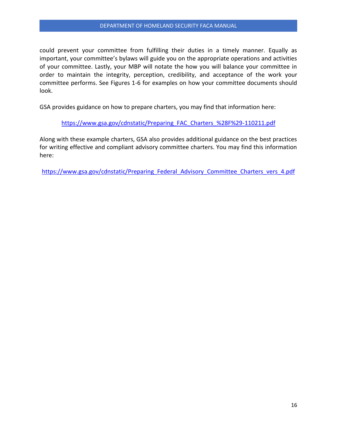could prevent your committee from fulfilling their duties in a timely manner. Equally as important, your committee's bylaws will guide you on the appropriate operations and activities of your committee. Lastly, your MBP will notate the how you will balance your committee in order to maintain the integrity, perception, credibility, and acceptance of the work your committee performs. See Figures 1-6 for examples on how your committee documents should look.

GSA provides guidance on how to prepare charters, you may find that information here:

#### [https://www.gsa.gov/cdnstatic/Preparing\\_FAC\\_Charters\\_%28F%29-110211.pdf](https://www.gsa.gov/cdnstatic/Preparing_FAC_Charters_%28F%29-110211.pdf)

Along with these example charters, GSA also provides additional guidance on the best practices for writing effective and compliant advisory committee charters. You may find this information here:

[https://www.gsa.gov/cdnstatic/Preparing\\_Federal\\_Advisory\\_Committee\\_Charters\\_vers\\_4.pdf](https://www.gsa.gov/cdnstatic/Preparing_Federal_Advisory_Committee_Charters_vers_4.pdf)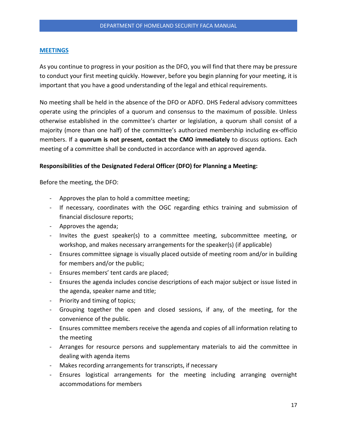#### **MEETINGS**

As you continue to progress in your position as the DFO, you will find that there may be pressure to conduct your first meeting quickly. However, before you begin planning for your meeting, it is important that you have a good understanding of the legal and ethical requirements.

No meeting shall be held in the absence of the DFO or ADFO. DHS Federal advisory committees operate using the principles of a quorum and consensus to the maximum of possible. Unless otherwise established in the committee's charter or legislation, a quorum shall consist of a majority (more than one half) of the committee's authorized membership including ex-officio members. If a **quorum is not present, contact the CMO immediately** to discuss options. Each meeting of a committee shall be conducted in accordance with an approved agenda.

#### **Responsibilities of the Designated Federal Officer (DFO) for Planning a Meeting:**

Before the meeting, the DFO:

- Approves the plan to hold a committee meeting;
- If necessary, coordinates with the OGC regarding ethics training and submission of financial disclosure reports;
- Approves the agenda;
- Invites the guest speaker(s) to a committee meeting, subcommittee meeting, or workshop, and makes necessary arrangements for the speaker(s) (if applicable)
- Ensures committee signage is visually placed outside of meeting room and/or in building for members and/or the public;
- Ensures members' tent cards are placed;
- Ensures the agenda includes concise descriptions of each major subject or issue listed in the agenda, speaker name and title;
- Priority and timing of topics;
- Grouping together the open and closed sessions, if any, of the meeting, for the convenience of the public.
- Ensures committee members receive the agenda and copies of all information relating to the meeting
- Arranges for resource persons and supplementary materials to aid the committee in dealing with agenda items
- Makes recording arrangements for transcripts, if necessary
- Ensures logistical arrangements for the meeting including arranging overnight accommodations for members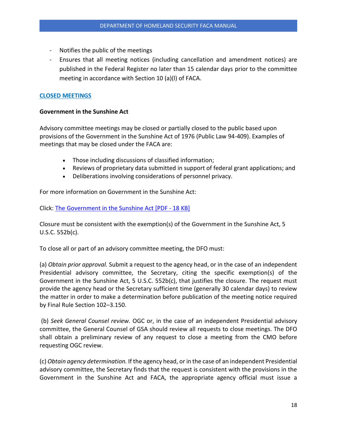- Notifies the public of the meetings
- Ensures that all meeting notices (including cancellation and amendment notices) are published in the Federal Register no later than 15 calendar days prior to the committee meeting in accordance with Section 10 (a)(l) of FACA.

## **CLOSED MEETINGS**

#### **Government in the Sunshine Act**

Advisory committee meetings may be closed or partially closed to the public based upon provisions of the Government in the Sunshine Act of 1976 (Public Law 94-409). Examples of meetings that may be closed under the FACA are:

- Those including discussions of classified information;
- Reviews of proprietary data submitted in support of federal grant applications; and
- Deliberations involving considerations of personnel privacy.

For more information on Government in the Sunshine Act:

Click: [The Government in the Sunshine Act \[PDF -](https://www.gsa.gov/cdnstatic/SunshineAct_R2B-x3-g_0Z5RDZ-i34K-pR.pdf) 18 KB]

Closure must be consistent with the exemption(s) of the Government in the Sunshine Act, 5 U.S.C. 552b(c).

To close all or part of an advisory committee meeting, the DFO must:

(a) *Obtain prior approval.* Submit a request to the agency head, or in the case of an independent Presidential advisory committee, the Secretary, citing the specific exemption(s) of the Government in the Sunshine Act, 5 U.S.C. 552b(c), that justifies the closure. The request must provide the agency head or the Secretary sufficient time (generally 30 calendar days) to review the matter in order to make a determination before publication of the meeting notice required by Final Rule Section 102–3.150.

(b) *Seek General Counsel review.* OGC or, in the case of an independent Presidential advisory committee, the General Counsel of GSA should review all requests to close meetings. The DFO shall obtain a preliminary review of any request to close a meeting from the CMO before requesting OGC review.

(c) *Obtain agency determination.* If the agency head, or in the case of an independent Presidential advisory committee, the Secretary finds that the request is consistent with the provisions in the Government in the Sunshine Act and FACA, the appropriate agency official must issue a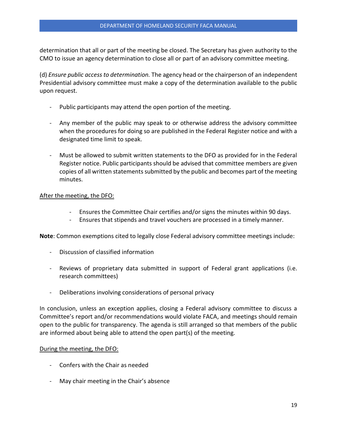determination that all or part of the meeting be closed. The Secretary has given authority to the CMO to issue an agency determination to close all or part of an advisory committee meeting.

(d) *Ensure public access to determination.* The agency head or the chairperson of an independent Presidential advisory committee must make a copy of the determination available to the public upon request.

- Public participants may attend the open portion of the meeting.
- Any member of the public may speak to or otherwise address the advisory committee when the procedures for doing so are published in the Federal Register notice and with a designated time limit to speak.
- Must be allowed to submit written statements to the DFO as provided for in the Federal Register notice. Public participants should be advised that committee members are given copies of all written statements submitted by the public and becomes part of the meeting minutes.

#### After the meeting, the DFO:

- Ensures the Committee Chair certifies and/or signs the minutes within 90 days.
- Ensures that stipends and travel vouchers are processed in a timely manner.

**Note**: Common exemptions cited to legally close Federal advisory committee meetings include:

- Discussion of classified information
- Reviews of proprietary data submitted in support of Federal grant applications (i.e. research committees)
- Deliberations involving considerations of personal privacy

In conclusion, unless an exception applies, closing a Federal advisory committee to discuss a Committee's report and/or recommendations would violate FACA, and meetings should remain open to the public for transparency. The agenda is still arranged so that members of the public are informed about being able to attend the open part(s) of the meeting.

#### During the meeting, the DFO:

- Confers with the Chair as needed
- May chair meeting in the Chair's absence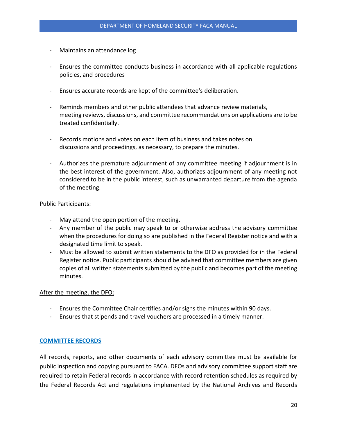- Maintains an attendance log
- Ensures the committee conducts business in accordance with all applicable regulations policies, and procedures
- Ensures accurate records are kept of the committee's deliberation.
- Reminds members and other public attendees that advance review materials, meeting reviews, discussions, and committee recommendations on applications are to be treated confidentially.
- Records motions and votes on each item of business and takes notes on discussions and proceedings, as necessary, to prepare the minutes.
- Authorizes the premature adjournment of any committee meeting if adjournment is in the best interest of the government. Also, authorizes adjournment of any meeting not considered to be in the public interest, such as unwarranted departure from the agenda of the meeting.

#### Public Participants:

- May attend the open portion of the meeting.
- Any member of the public may speak to or otherwise address the advisory committee when the procedures for doing so are published in the Federal Register notice and with a designated time limit to speak.
- Must be allowed to submit written statements to the DFO as provided for in the Federal Register notice. Public participants should be advised that committee members are given copies of all written statements submitted by the public and becomes part of the meeting minutes.

#### After the meeting, the DFO:

- Ensures the Committee Chair certifies and/or signs the minutes within 90 days.
- Ensures that stipends and travel vouchers are processed in a timely manner.

#### **COMMITTEE RECORDS**

All records, reports, and other documents of each advisory committee must be available for public inspection and copying pursuant to FACA. DFOs and advisory committee support staff are required to retain Federal records in accordance with record retention schedules as required by the Federal Records Act and regulations implemented by the National Archives and Records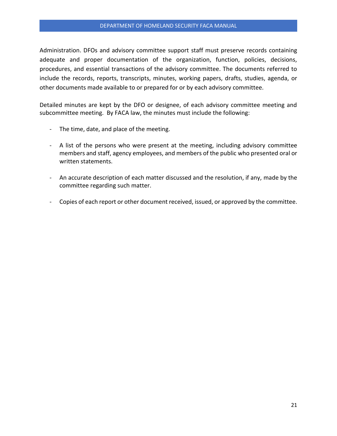#### DEPARTMENT OF HOMELAND SECURITY FACA MANUAL

Administration. DFOs and advisory committee support staff must preserve records containing adequate and proper documentation of the organization, function, policies, decisions, procedures, and essential transactions of the advisory committee. The documents referred to include the records, reports, transcripts, minutes, working papers, drafts, studies, agenda, or other documents made available to or prepared for or by each advisory committee.

Detailed minutes are kept by the DFO or designee, of each advisory committee meeting and subcommittee meeting. By FACA law, the minutes must include the following:

- The time, date, and place of the meeting.
- A list of the persons who were present at the meeting, including advisory committee members and staff, agency employees, and members of the public who presented oral or written statements.
- An accurate description of each matter discussed and the resolution, if any, made by the committee regarding such matter.
- Copies of each report or other document received, issued, or approved by the committee.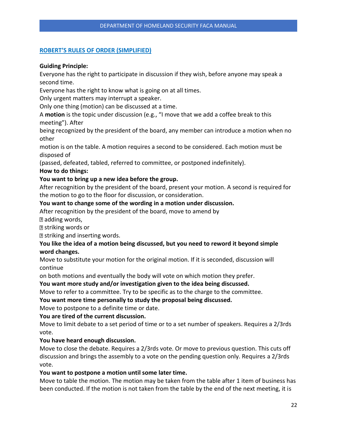## **ROBERT'S RULES OF ORDER (SIMPLIFIED)**

#### **Guiding Principle:**

Everyone has the right to participate in discussion if they wish, before anyone may speak a second time.

Everyone has the right to know what is going on at all times.

Only urgent matters may interrupt a speaker.

Only one thing (motion) can be discussed at a time.

A **motion** is the topic under discussion (e.g., "I move that we add a coffee break to this meeting"). After

being recognized by the president of the board, any member can introduce a motion when no other

motion is on the table. A motion requires a second to be considered. Each motion must be disposed of

(passed, defeated, tabled, referred to committee, or postponed indefinitely).

#### **How to do things:**

## **You want to bring up a new idea before the group.**

After recognition by the president of the board, present your motion. A second is required for the motion to go to the floor for discussion, or consideration.

#### **You want to change some of the wording in a motion under discussion.**

After recognition by the president of the board, move to amend by

 $\mathbb D$  adding words,

**D** striking words or

**D** striking and inserting words.

## **You like the idea of a motion being discussed, but you need to reword it beyond simple word changes.**

Move to substitute your motion for the original motion. If it is seconded, discussion will continue

on both motions and eventually the body will vote on which motion they prefer.

## **You want more study and/or investigation given to the idea being discussed.**

Move to refer to a committee. Try to be specific as to the charge to the committee.

**You want more time personally to study the proposal being discussed.**

Move to postpone to a definite time or date.

## **You are tired of the current discussion.**

Move to limit debate to a set period of time or to a set number of speakers. Requires a 2/3rds vote.

## **You have heard enough discussion.**

Move to close the debate. Requires a 2/3rds vote. Or move to previous question. This cuts off discussion and brings the assembly to a vote on the pending question only. Requires a 2/3rds vote.

## **You want to postpone a motion until some later time.**

Move to table the motion. The motion may be taken from the table after 1 item of business has been conducted. If the motion is not taken from the table by the end of the next meeting, it is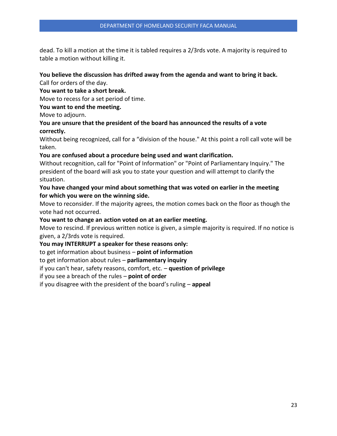dead. To kill a motion at the time it is tabled requires a 2/3rds vote. A majority is required to table a motion without killing it.

## **You believe the discussion has drifted away from the agenda and want to bring it back.**

Call for orders of the day.

## **You want to take a short break.**

Move to recess for a set period of time.

**You want to end the meeting.**

Move to adjourn.

## **You are unsure that the president of the board has announced the results of a vote correctly.**

Without being recognized, call for a "division of the house." At this point a roll call vote will be taken.

## **You are confused about a procedure being used and want clarification.**

Without recognition, call for "Point of Information" or "Point of Parliamentary Inquiry." The president of the board will ask you to state your question and will attempt to clarify the situation.

## **You have changed your mind about something that was voted on earlier in the meeting for which you were on the winning side.**

Move to reconsider. If the majority agrees, the motion comes back on the floor as though the vote had not occurred.

## **You want to change an action voted on at an earlier meeting.**

Move to rescind. If previous written notice is given, a simple majority is required. If no notice is given, a 2/3rds vote is required.

**You may INTERRUPT a speaker for these reasons only:**

to get information about business – **point of information**

to get information about rules – **parliamentary inquiry**

if you can't hear, safety reasons, comfort, etc. – **question of privilege**

if you see a breach of the rules – **point of order**

if you disagree with the president of the board's ruling – **appeal**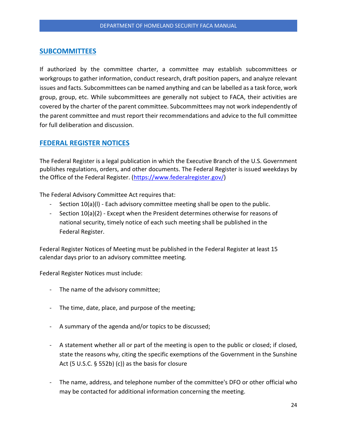## **SUBCOMMITTEES**

If authorized by the committee charter, a committee may establish subcommittees or workgroups to gather information, conduct research, draft position papers, and analyze relevant issues and facts. Subcommittees can be named anything and can be labelled as a task force, work group, group, etc. While subcommittees are generally not subject to FACA, their activities are covered by the charter of the parent committee. Subcommittees may not work independently of the parent committee and must report their recommendations and advice to the full committee for full deliberation and discussion.

## **FEDERAL REGISTER NOTICES**

The Federal Register is a legal publication in which the Executive Branch of the U.S. Government publishes regulations, orders, and other documents. The Federal Register is issued weekdays by the Office of the Federal Register. [\(https://www.federalregister.gov/\)](https://www.federalregister.gov/)

The Federal Advisory Committee Act requires that:

- Section 10(a)(l) Each advisory committee meeting shall be open to the public.
- Section 10(a)(2) Except when the President determines otherwise for reasons of national security, timely notice of each such meeting shall be published in the Federal Register.

Federal Register Notices of Meeting must be published in the Federal Register at least 15 calendar days prior to an advisory committee meeting.

Federal Register Notices must include:

- The name of the advisory committee;
- The time, date, place, and purpose of the meeting;
- A summary of the agenda and/or topics to be discussed;
- A statement whether all or part of the meeting is open to the public or closed; if closed, state the reasons why, citing the specific exemptions of the Government in the Sunshine Act (5 U.S.C. § 552b) (c)) as the basis for closure
- The name, address, and telephone number of the committee's DFO or other official who may be contacted for additional information concerning the meeting.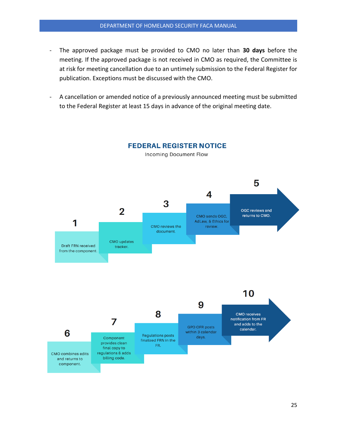- The approved package must be provided to CMO no later than **30 days** before the meeting. If the approved package is not received in CMO as required, the Committee is at risk for meeting cancellation due to an untimely submission to the Federal Register for publication. Exceptions must be discussed with the CMO.
- A cancellation or amended notice of a previously announced meeting must be submitted to the Federal Register at least 15 days in advance of the original meeting date.



**FEDERAL REGISTER NOTICE**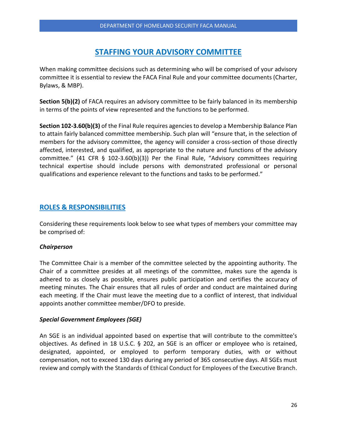# **STAFFING YOUR ADVISORY COMMITTEE**

When making committee decisions such as determining who will be comprised of your advisory committee it is essential to review the FACA Final Rule and your committee documents (Charter, Bylaws, & MBP).

**Section 5(b)(2)** of FACA requires an advisory committee to be fairly balanced in its membership in terms of the points of view represented and the functions to be performed.

**Section 102-3.60(b)(3)** of the Final Rule requires agencies to develop a Membership Balance Plan to attain fairly balanced committee membership. Such plan will "ensure that, in the selection of members for the advisory committee, the agency will consider a cross-section of those directly affected, interested, and qualified, as appropriate to the nature and functions of the advisory committee." (41 CFR  $\S$  102-3.60(b)(3)) Per the Final Rule, "Advisory committees requiring technical expertise should include persons with demonstrated professional or personal qualifications and experience relevant to the functions and tasks to be performed."

## **ROLES & RESPONSIBILITIES**

Considering these requirements look below to see what types of members your committee may be comprised of:

## *Chairperson*

The Committee Chair is a member of the committee selected by the appointing authority. The Chair of a committee presides at all meetings of the committee, makes sure the agenda is adhered to as closely as possible, ensures public participation and certifies the accuracy of meeting minutes. The Chair ensures that all rules of order and conduct are maintained during each meeting. If the Chair must leave the meeting due to a conflict of interest, that individual appoints another committee member/DFO to preside.

## *Special Government Employees (SGE)*

An SGE is an individual appointed based on expertise that will contribute to the committee's objectives. As defined in 18 U.S.C. § 202, an SGE is an officer or employee who is retained, designated, appointed, or employed to perform temporary duties, with or without compensation, not to exceed 130 days during any period of 365 consecutive days. All SGEs must review and comply with the Standards of Ethical Conduct for Employees of the Executive Branch.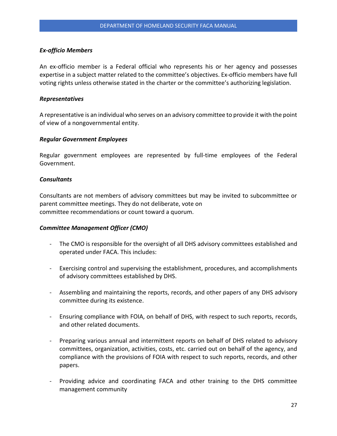#### *Ex-officio Members*

An ex-officio member is a Federal official who represents his or her agency and possesses expertise in a subject matter related to the committee's objectives. Ex-officio members have full voting rights unless otherwise stated in the charter or the committee's authorizing legislation.

#### *Representatives*

A representative is an individual who serves on an advisory committee to provide it with the point of view of a nongovernmental entity.

#### *Regular Government Employees*

Regular government employees are represented by full-time employees of the Federal Government.

#### *Consultants*

Consultants are not members of advisory committees but may be invited to subcommittee or parent committee meetings. They do not deliberate, vote on committee recommendations or count toward a quorum.

#### *Committee Management Officer (CMO)*

- The CMO is responsible for the oversight of all DHS advisory committees established and operated under FACA. This includes:
- Exercising control and supervising the establishment, procedures, and accomplishments of advisory committees established by DHS.
- Assembling and maintaining the reports, records, and other papers of any DHS advisory committee during its existence.
- Ensuring compliance with FOIA, on behalf of DHS, with respect to such reports, records, and other related documents.
- Preparing various annual and intermittent reports on behalf of DHS related to advisory committees, organization, activities, costs, etc. carried out on behalf of the agency, and compliance with the provisions of FOIA with respect to such reports, records, and other papers.
- Providing advice and coordinating FACA and other training to the DHS committee management community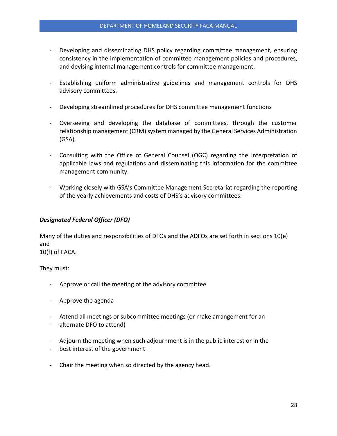- Developing and disseminating DHS policy regarding committee management, ensuring consistency in the implementation of committee management policies and procedures, and devising internal management controls for committee management.
- Establishing uniform administrative guidelines and management controls for DHS advisory committees.
- Developing streamlined procedures for DHS committee management functions
- Overseeing and developing the database of committees, through the customer relationship management (CRM) system managed by the General Services Administration (GSA).
- Consulting with the Office of General Counsel (OGC) regarding the interpretation of applicable laws and regulations and disseminating this information for the committee management community.
- Working closely with GSA's Committee Management Secretariat regarding the reporting of the yearly achievements and costs of DHS's advisory committees.

## *Designated Federal Officer (DFO)*

Many of the duties and responsibilities of DFOs and the ADFOs are set forth in sections 10(e) and 10(f) of FACA.

They must:

- Approve or call the meeting of the advisory committee
- Approve the agenda
- Attend all meetings or subcommittee meetings (or make arrangement for an
- alternate DFO to attend)
- Adjourn the meeting when such adjournment is in the public interest or in the
- best interest of the government
- Chair the meeting when so directed by the agency head.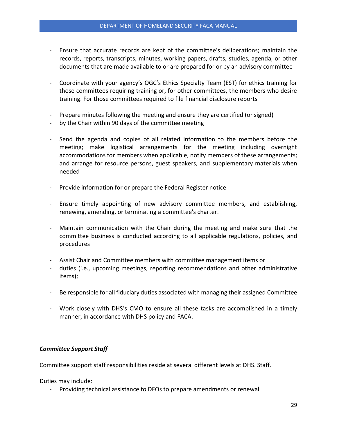- Ensure that accurate records are kept of the committee's deliberations; maintain the records, reports, transcripts, minutes, working papers, drafts, studies, agenda, or other documents that are made available to or are prepared for or by an advisory committee
- Coordinate with your agency's OGC's Ethics Specialty Team (EST) for ethics training for those committees requiring training or, for other committees, the members who desire training. For those committees required to file financial disclosure reports
- Prepare minutes following the meeting and ensure they are certified (or signed)
- by the Chair within 90 days of the committee meeting
- Send the agenda and copies of all related information to the members before the meeting; make logistical arrangements for the meeting including overnight accommodations for members when applicable, notify members of these arrangements; and arrange for resource persons, guest speakers, and supplementary materials when needed
- Provide information for or prepare the Federal Register notice
- Ensure timely appointing of new advisory committee members, and establishing, renewing, amending, or terminating a committee's charter.
- Maintain communication with the Chair during the meeting and make sure that the committee business is conducted according to all applicable regulations, policies, and procedures
- Assist Chair and Committee members with committee management items or
- duties (i.e., upcoming meetings, reporting recommendations and other administrative items);
- Be responsible for all fiduciary duties associated with managing their assigned Committee
- Work closely with DHS's CMO to ensure all these tasks are accomplished in a timely manner, in accordance with DHS policy and FACA.

#### *Committee Support Staff*

Committee support staff responsibilities reside at several different levels at DHS. Staff.

Duties may include:

- Providing technical assistance to DFOs to prepare amendments or renewal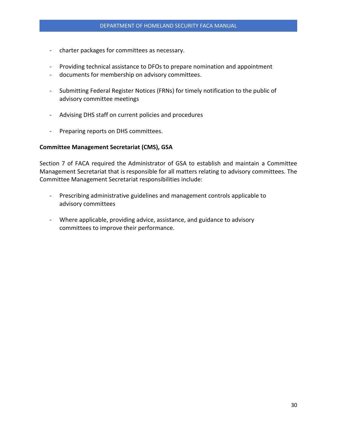- charter packages for committees as necessary.
- Providing technical assistance to DFOs to prepare nomination and appointment
- documents for membership on advisory committees.
- Submitting Federal Register Notices (FRNs) for timely notification to the public of advisory committee meetings
- Advising DHS staff on current policies and procedures
- Preparing reports on DHS committees.

#### **Committee Management Secretariat (CMS), GSA**

Section 7 of FACA required the Administrator of GSA to establish and maintain a Committee Management Secretariat that is responsible for all matters relating to advisory committees. The Committee Management Secretariat responsibilities include:

- Prescribing administrative guidelines and management controls applicable to advisory committees
- Where applicable, providing advice, assistance, and guidance to advisory committees to improve their performance.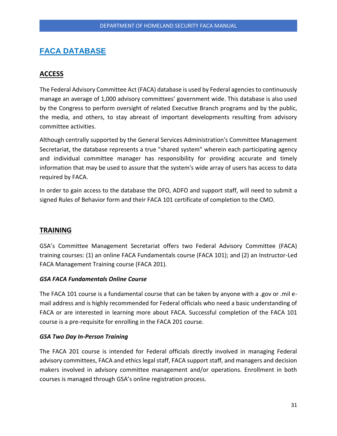# **FACA DATABASE**

# **ACCESS**

The Federal Advisory Committee Act (FACA) database is used by Federal agencies to continuously manage an average of 1,000 advisory committees' government wide. This database is also used by the Congress to perform oversight of related Executive Branch programs and by the public, the media, and others, to stay abreast of important developments resulting from advisory committee activities.

Although centrally supported by the General Services Administration's Committee Management Secretariat, the database represents a true "shared system" wherein each participating agency and individual committee manager has responsibility for providing accurate and timely information that may be used to assure that the system's wide array of users has access to data required by FACA.

In order to gain access to the database the DFO, ADFO and support staff, will need to submit a signed Rules of Behavior form and their FACA 101 certificate of completion to the CMO.

## **TRAINING**

GSA's Committee Management Secretariat offers two Federal Advisory Committee (FACA) training courses: (1) an online FACA Fundamentals course (FACA 101); and (2) an Instructor-Led FACA Management Training course (FACA 201).

## *GSA FACA Fundamentals Online Course*

The FACA 101 course is a fundamental course that can be taken by anyone with a .gov or .mil email address and is highly recommended for Federal officials who need a basic understanding of FACA or are interested in learning more about FACA. Successful completion of the FACA 101 course is a pre-requisite for enrolling in the FACA 201 course.

## *GSA Two Day In-Person Training*

The FACA 201 course is intended for Federal officials directly involved in managing Federal advisory committees, FACA and ethics legal staff, FACA support staff, and managers and decision makers involved in advisory committee management and/or operations. Enrollment in both courses is managed through GSA's online registration process.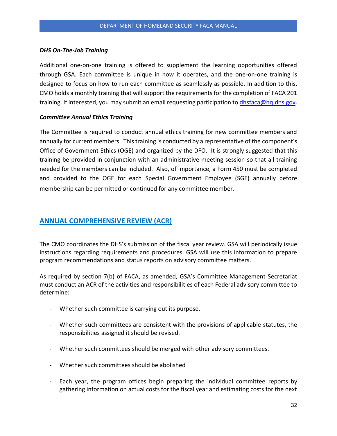#### *DHS On-The-Job Training*

Additional one-on-one training is offered to supplement the learning opportunities offered through GSA. Each committee is unique in how it operates, and the one-on-one training is designed to focus on how to run each committee as seamlessly as possible. In addition to this, CMO holds a monthly training that will support the requirements for the completion of FACA 201 training. If interested, you may submit an email requesting participation to *dhsfaca@hq.dhs.gov.* 

#### *Committee Annual Ethics Training*

The Committee is required to conduct annual ethics training for new committee members and annually for current members. This training is conducted by a representative of the component's Office of Government Ethics (OGE) and organized by the DFO. It is strongly suggested that this training be provided in conjunction with an administrative meeting session so that all training needed for the members can be included. Also, of importance, a Form 450 must be completed and provided to the OGE for each Special Government Employee (SGE) annually before membership can be permitted or continued for any committee member.

## **ANNUAL COMPREHENSIVE REVIEW (ACR)**

The CMO coordinates the DHS's submission of the fiscal year review. GSA will periodically issue instructions regarding requirements and procedures. GSA will use this information to prepare program recommendations and status reports on advisory committee matters.

As required by section 7(b) of FACA, as amended, GSA's Committee Management Secretariat must conduct an ACR of the activities and responsibilities of each Federal advisory committee to determine:

- Whether such committee is carrying out its purpose.
- Whether such committees are consistent with the provisions of applicable statutes, the responsibilities assigned it should be revised.
- Whether such committees should be merged with other advisory committees.
- Whether such committees should be abolished
- Each year, the program offices begin preparing the individual committee reports by gathering information on actual costs for the fiscal year and estimating costs for the next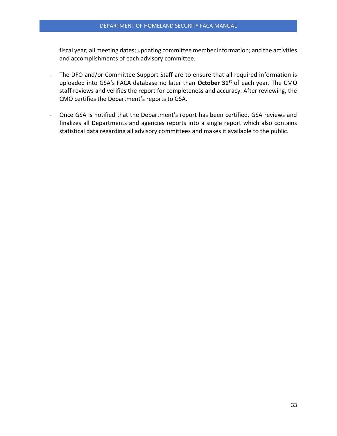fiscal year; all meeting dates; updating committee member information; and the activities and accomplishments of each advisory committee.

- The DFO and/or Committee Support Staff are to ensure that all required information is uploaded into GSA's FACA database no later than **October 31st** of each year. The CMO staff reviews and verifies the report for completeness and accuracy. After reviewing, the CMO certifies the Department's reports to GSA.
- Once GSA is notified that the Department's report has been certified, GSA reviews and finalizes all Departments and agencies reports into a single report which also contains statistical data regarding all advisory committees and makes it available to the public.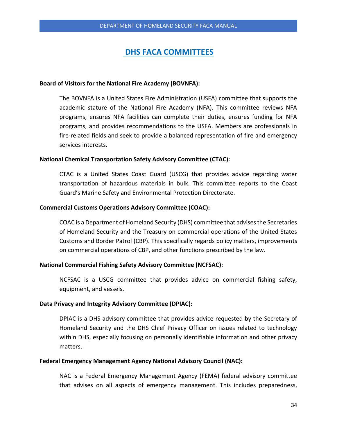# **DHS FACA COMMITTEES**

#### **Board of Visitors for the National Fire Academy (BOVNFA):**

The BOVNFA is a United States Fire Administration (USFA) committee that supports the academic stature of the National Fire Academy (NFA). This committee reviews NFA programs, ensures NFA facilities can complete their duties, ensures funding for NFA programs, and provides recommendations to the USFA. Members are professionals in fire-related fields and seek to provide a balanced representation of fire and emergency services interests.

#### **National Chemical Transportation Safety Advisory Committee (CTAC):**

CTAC is a United States Coast Guard (USCG) that provides advice regarding water transportation of hazardous materials in bulk. This committee reports to the Coast Guard's Marine Safety and Environmental Protection Directorate.

#### **Commercial Customs Operations Advisory Committee (COAC):**

COAC is a Department of Homeland Security (DHS) committee that advises the Secretaries of Homeland Security and the Treasury on commercial operations of the United States Customs and Border Patrol (CBP). This specifically regards policy matters, improvements on commercial operations of CBP, and other functions prescribed by the law.

#### **National Commercial Fishing Safety Advisory Committee (NCFSAC):**

NCFSAC is a USCG committee that provides advice on commercial fishing safety, equipment, and vessels.

#### **Data Privacy and Integrity Advisory Committee (DPIAC):**

DPIAC is a DHS advisory committee that provides advice requested by the Secretary of Homeland Security and the DHS Chief Privacy Officer on issues related to technology within DHS, especially focusing on personally identifiable information and other privacy matters.

#### **Federal Emergency Management Agency National Advisory Council (NAC):**

NAC is a Federal Emergency Management Agency (FEMA) federal advisory committee that advises on all aspects of emergency management. This includes preparedness,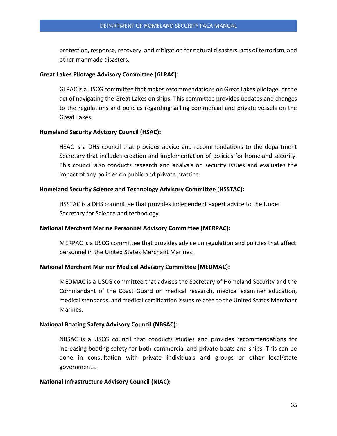protection, response, recovery, and mitigation for natural disasters, acts of terrorism, and other manmade disasters.

#### **Great Lakes Pilotage Advisory Committee (GLPAC):**

GLPAC is a USCG committee that makes recommendations on Great Lakes pilotage, or the act of navigating the Great Lakes on ships. This committee provides updates and changes to the regulations and policies regarding sailing commercial and private vessels on the Great Lakes.

#### **Homeland Security Advisory Council (HSAC):**

HSAC is a DHS council that provides advice and recommendations to the department Secretary that includes creation and implementation of policies for homeland security. This council also conducts research and analysis on security issues and evaluates the impact of any policies on public and private practice.

## **Homeland Security Science and Technology Advisory Committee (HSSTAC):**

HSSTAC is a DHS committee that provides independent expert advice to the Under Secretary for Science and technology.

## **National Merchant Marine Personnel Advisory Committee (MERPAC):**

MERPAC is a USCG committee that provides advice on regulation and policies that affect personnel in the United States Merchant Marines.

## **National Merchant Mariner Medical Advisory Committee (MEDMAC):**

MEDMAC is a USCG committee that advises the Secretary of Homeland Security and the Commandant of the Coast Guard on medical research, medical examiner education, medical standards, and medical certification issues related to the United States Merchant Marines.

#### **National Boating Safety Advisory Council (NBSAC):**

NBSAC is a USCG council that conducts studies and provides recommendations for increasing boating safety for both commercial and private boats and ships. This can be done in consultation with private individuals and groups or other local/state governments.

#### **National Infrastructure Advisory Council (NIAC):**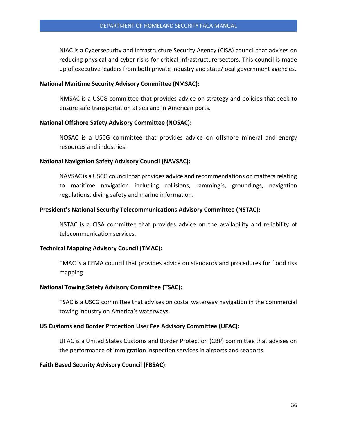NIAC is a Cybersecurity and Infrastructure Security Agency (CISA) council that advises on reducing physical and cyber risks for critical infrastructure sectors. This council is made up of executive leaders from both private industry and state/local government agencies.

#### **National Maritime Security Advisory Committee (NMSAC):**

NMSAC is a USCG committee that provides advice on strategy and policies that seek to ensure safe transportation at sea and in American ports.

#### **National Offshore Safety Advisory Committee (NOSAC):**

NOSAC is a USCG committee that provides advice on offshore mineral and energy resources and industries.

#### **National Navigation Safety Advisory Council (NAVSAC):**

NAVSAC is a USCG council that provides advice and recommendations on matters relating to maritime navigation including collisions, ramming's, groundings, navigation regulations, diving safety and marine information.

#### **President's National Security Telecommunications Advisory Committee (NSTAC):**

NSTAC is a CISA committee that provides advice on the availability and reliability of telecommunication services.

#### **Technical Mapping Advisory Council (TMAC):**

TMAC is a FEMA council that provides advice on standards and procedures for flood risk mapping.

#### **National Towing Safety Advisory Committee (TSAC):**

TSAC is a USCG committee that advises on costal waterway navigation in the commercial towing industry on America's waterways.

#### **US Customs and Border Protection User Fee Advisory Committee (UFAC):**

UFAC is a United States Customs and Border Protection (CBP) committee that advises on the performance of immigration inspection services in airports and seaports.

#### **Faith Based Security Advisory Council (FBSAC):**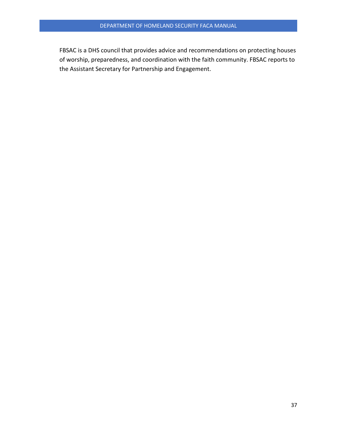FBSAC is a DHS council that provides advice and recommendations on protecting houses of worship, preparedness, and coordination with the faith community. FBSAC reports to the Assistant Secretary for Partnership and Engagement.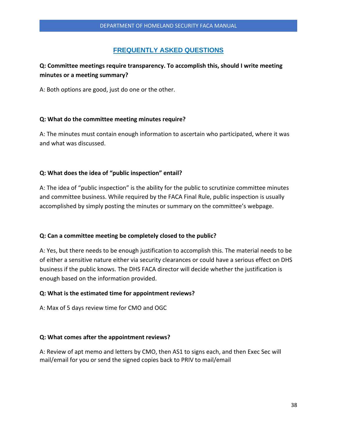## **FREQUENTLY ASKED QUESTIONS**

# **Q: Committee meetings require transparency. To accomplish this, should I write meeting minutes or a meeting summary?**

A: Both options are good, just do one or the other.

## **Q: What do the committee meeting minutes require?**

A: The minutes must contain enough information to ascertain who participated, where it was and what was discussed.

## **Q: What does the idea of "public inspection" entail?**

A: The idea of "public inspection" is the ability for the public to scrutinize committee minutes and committee business. While required by the FACA Final Rule, public inspection is usually accomplished by simply posting the minutes or summary on the committee's webpage.

## **Q: Can a committee meeting be completely closed to the public?**

A: Yes, but there needs to be enough justification to accomplish this. The material needs to be of either a sensitive nature either via security clearances or could have a serious effect on DHS business if the public knows. The DHS FACA director will decide whether the justification is enough based on the information provided.

#### **Q: What is the estimated time for appointment reviews?**

A: Max of 5 days review time for CMO and OGC

#### **Q: What comes after the appointment reviews?**

A: Review of apt memo and letters by CMO, then AS1 to signs each, and then Exec Sec will mail/email for you or send the signed copies back to PRIV to mail/email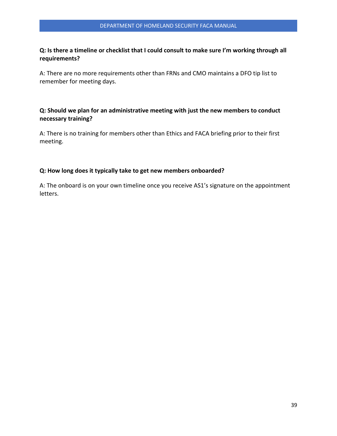## **Q: Is there a timeline or checklist that I could consult to make sure I'm working through all requirements?**

A: There are no more requirements other than FRNs and CMO maintains a DFO tip list to remember for meeting days.

## **Q: Should we plan for an administrative meeting with just the new members to conduct necessary training?**

A: There is no training for members other than Ethics and FACA briefing prior to their first meeting.

#### **Q: How long does it typically take to get new members onboarded?**

A: The onboard is on your own timeline once you receive AS1's signature on the appointment letters.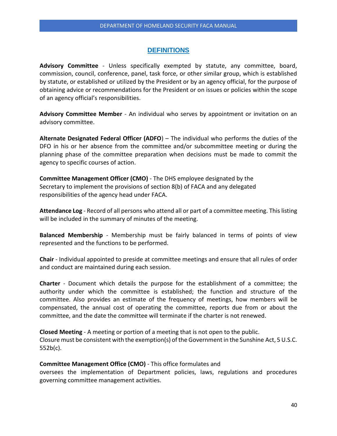#### **DEFINITIONS**

**Advisory Committee** - Unless specifically exempted by statute, any committee, board, commission, council, conference, panel, task force, or other similar group, which is established by statute, or established or utilized by the President or by an agency official, for the purpose of obtaining advice or recommendations for the President or on issues or policies within the scope of an agency official's responsibilities.

**Advisory Committee Member** - An individual who serves by appointment or invitation on an advisory committee.

**Alternate Designated Federal Officer (ADFO**) – The individual who performs the duties of the DFO in his or her absence from the committee and/or subcommittee meeting or during the planning phase of the committee preparation when decisions must be made to commit the agency to specific courses of action.

**Committee Management Officer (CMO)** - The DHS employee designated by the Secretary to implement the provisions of section 8(b) of FACA and any delegated responsibilities of the agency head under FACA.

**Attendance Log** - Record of all persons who attend all or part of a committee meeting. This listing will be included in the summary of minutes of the meeting.

**Balanced Membership** - Membership must be fairly balanced in terms of points of view represented and the functions to be performed.

**Chair** - Individual appointed to preside at committee meetings and ensure that all rules of order and conduct are maintained during each session.

**Charter** - Document which details the purpose for the establishment of a committee; the authority under which the committee is established; the function and structure of the committee. Also provides an estimate of the frequency of meetings, how members will be compensated, the annual cost of operating the committee, reports due from or about the committee, and the date the committee will terminate if the charter is not renewed.

**Closed Meeting** - A meeting or portion of a meeting that is not open to the public. Closure must be consistent with the exemption(s) of the Government in the Sunshine Act, 5 U.S.C. 552b(c).

#### **Committee Management Office (CMO)** - This office formulates and

oversees the implementation of Department policies, laws, regulations and procedures governing committee management activities.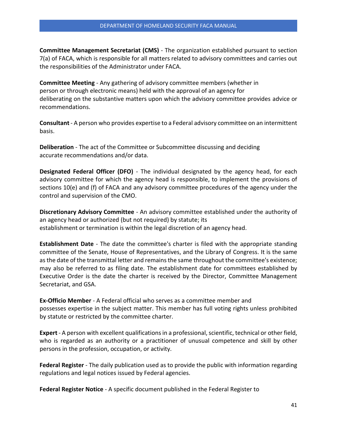**Committee Management Secretariat (CMS)** - The organization established pursuant to section 7(a) of FACA, which is responsible for all matters related to advisory committees and carries out the responsibilities of the Administrator under FACA.

**Committee Meeting** - Any gathering of advisory committee members (whether in person or through electronic means) held with the approval of an agency for deliberating on the substantive matters upon which the advisory committee provides advice or recommendations.

**Consultant** - A person who provides expertise to a Federal advisory committee on an intermittent basis.

**Deliberation** - The act of the Committee or Subcommittee discussing and deciding accurate recommendations and/or data.

**Designated Federal Officer (DFO)** - The individual designated by the agency head, for each advisory committee for which the agency head is responsible, to implement the provisions of sections 10(e) and (f) of FACA and any advisory committee procedures of the agency under the control and supervision of the CMO.

**Discretionary Advisory Committee** - An advisory committee established under the authority of an agency head or authorized (but not required) by statute; its establishment or termination is within the legal discretion of an agency head.

**Establishment Date** - The date the committee's charter is filed with the appropriate standing committee of the Senate, House of Representatives, and the Library of Congress. It is the same as the date of the transmittal letter and remains the same throughout the committee's existence; may also be referred to as filing date. The establishment date for committees established by Executive Order is the date the charter is received by the Director, Committee Management Secretariat, and GSA.

**Ex-Officio Member** - A Federal official who serves as a committee member and possesses expertise in the subject matter. This member has full voting rights unless prohibited by statute or restricted by the committee charter.

**Expert** - A person with excellent qualifications in a professional, scientific, technical or other field, who is regarded as an authority or a practitioner of unusual competence and skill by other persons in the profession, occupation, or activity.

**Federal Register** - The daily publication used as to provide the public with information regarding regulations and legal notices issued by Federal agencies.

**Federal Register Notice** - A specific document published in the Federal Register to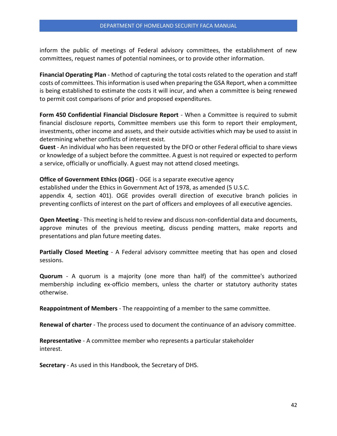inform the public of meetings of Federal advisory committees, the establishment of new committees, request names of potential nominees, or to provide other information.

**Financial Operating Plan** - Method of capturing the total costs related to the operation and staff costs of committees. This information is used when preparing the GSA Report, when a committee is being established to estimate the costs it will incur, and when a committee is being renewed to permit cost comparisons of prior and proposed expenditures.

**Form 450 Confidential Financial Disclosure Report** - When a Committee is required to submit financial disclosure reports, Committee members use this form to report their employment, investments, other income and assets, and their outside activities which may be used to assist in determining whether conflicts of interest exist.

**Guest** - An individual who has been requested by the DFO or other Federal official to share views or knowledge of a subject before the committee. A guest is not required or expected to perform a service, officially or unofficially. A guest may not attend closed meetings.

**Office of Government Ethics (OGE)** - OGE is a separate executive agency

established under the Ethics in Government Act of 1978, as amended (5 U.S.C.

appendix 4, section 401). OGE provides overall direction of executive branch policies in preventing conflicts of interest on the part of officers and employees of all executive agencies.

**Open Meeting** - This meeting is held to review and discuss non-confidential data and documents, approve minutes of the previous meeting, discuss pending matters, make reports and presentations and plan future meeting dates.

**Partially Closed Meeting** - A Federal advisory committee meeting that has open and closed sessions.

**Quorum** - A quorum is a majority (one more than half) of the committee's authorized membership including ex-officio members, unless the charter or statutory authority states otherwise.

**Reappointment of Members** - The reappointing of a member to the same committee.

**Renewal of charter** - The process used to document the continuance of an advisory committee.

**Representative** - A committee member who represents a particular stakeholder interest.

**Secretary** - As used in this Handbook, the Secretary of DHS.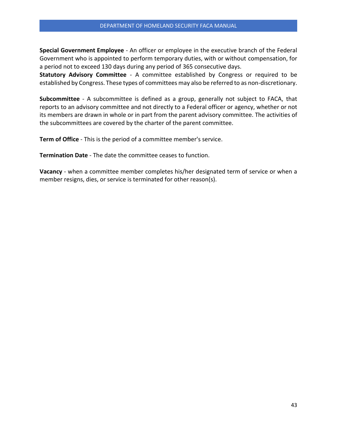**Special Government Employee** - An officer or employee in the executive branch of the Federal Government who is appointed to perform temporary duties, with or without compensation, for a period not to exceed 130 days during any period of 365 consecutive days.

**Statutory Advisory Committee** - A committee established by Congress or required to be established by Congress. These types of committees may also be referred to as non-discretionary.

**Subcommittee** - A subcommittee is defined as a group, generally not subject to FACA, that reports to an advisory committee and not directly to a Federal officer or agency, whether or not its members are drawn in whole or in part from the parent advisory committee. The activities of the subcommittees are covered by the charter of the parent committee.

**Term of Office** - This is the period of a committee member's service.

**Termination Date** - The date the committee ceases to function.

**Vacancy** - when a committee member completes his/her designated term of service or when a member resigns, dies, or service is terminated for other reason(s).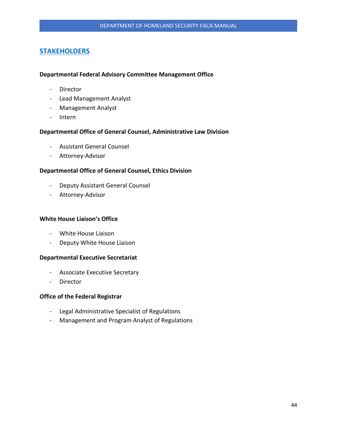## **STAKEHOLDERS**

#### **Departmental Federal Advisory Committee Management Office**

- Director
- Lead Management Analyst
- Management Analyst
- Intern

#### **Departmental Office of General Counsel, Administrative Law Division**

- Assistant General Counsel
- Attorney-Advisor

#### **Departmental Office of General Counsel, Ethics Division**

- Deputy Assistant General Counsel
- Attorney-Advisor

#### **White House Liaison's Office**

- White House Liaison
- Deputy White House Liaison

#### **Departmental Executive Secretariat**

- Associate Executive Secretary
- Director

#### **Office of the Federal Registrar**

- Legal Administrative Specialist of Regulations
- Management and Program Analyst of Regulations